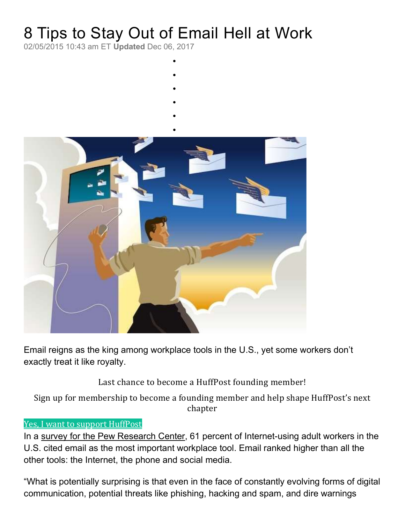# 8 Tips to Stay Out of Email Hell at Work

 $\bullet$ 

02/05/2015 10:43 am ET Updated Dec 06, 2017

- $\bullet$
- $\bullet$
- 
- $\bullet$
- $\bullet$



Email reigns as the king among workplace tools in the U.S., yet some workers don't exactly treat it like royalty.

Last chance to become a HuffPost founding member!

Sign up for membership to become a founding member and help shape HuffPost's next chapter

#### Yes, I want to support HuffPost

In a survey for the Pew Research Center, 61 percent of Internet-using adult workers in the U.S. cited email as the most important workplace tool. Email ranked higher than all the other tools: the Internet, the phone and social media.

"What is potentially surprising is that even in the face of constantly evolving forms of digital communication, potential threats like phishing, hacking and spam, and dire warnings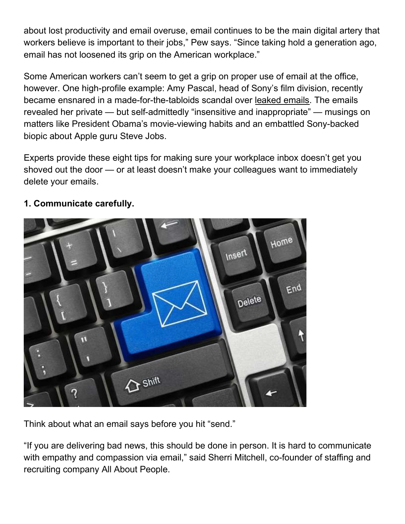about lost productivity and email overuse, email continues to be the main digital artery that workers believe is important to their jobs," Pew says. "Since taking hold a generation ago, email has not loosened its grip on the American workplace."

Some American workers can't seem to get a grip on proper use of email at the office, however. One high-profile example: Amy Pascal, head of Sony's film division, recently became ensnared in a made-for-the-tabloids scandal over leaked emails. The emails revealed her private — but self-admittedly "insensitive and inappropriate" — musings on matters like President Obama's movie-viewing habits and an embattled Sony-backed biopic about Apple guru Steve Jobs.

Experts provide these eight tips for making sure your workplace inbox doesn't get you shoved out the door — or at least doesn't make your colleagues want to immediately delete your emails.



#### 1. Communicate carefully.

Think about what an email says before you hit "send."

"If you are delivering bad news, this should be done in person. It is hard to communicate with empathy and compassion via email," said Sherri Mitchell, co-founder of staffing and recruiting company All About People.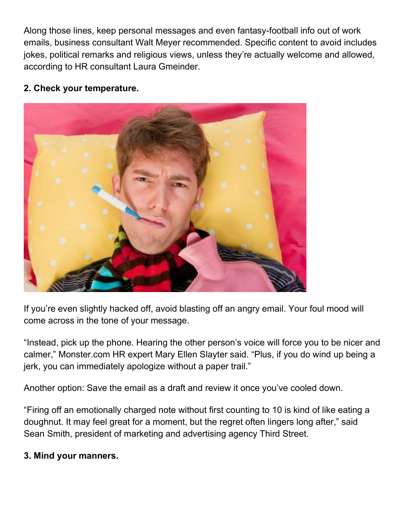Along those lines, keep personal messages and even fantasy-football info out of work emails, business consultant Walt Meyer recommended. Specific content to avoid includes jokes, political remarks and religious views, unless they're actually welcome and allowed, according to HR consultant Laura Gmeinder.

### 2. Check your temperature.



If you're even slightly hacked off, avoid blasting off an angry email. Your foul mood will come across in the tone of your message.

"Instead, pick up the phone. Hearing the other person's voice will force you to be nicer and calmer," Monster.com HR expert Mary Ellen Slayter said. "Plus, if you do wind up being a jerk, you can immediately apologize without a paper trail."

Another option: Save the email as a draft and review it once you've cooled down.

"Firing off an emotionally charged note without first counting to 10 is kind of like eating a doughnut. It may feel great for a moment, but the regret often lingers long after," said Sean Smith, president of marketing and advertising agency Third Street.

## 3. Mind your manners.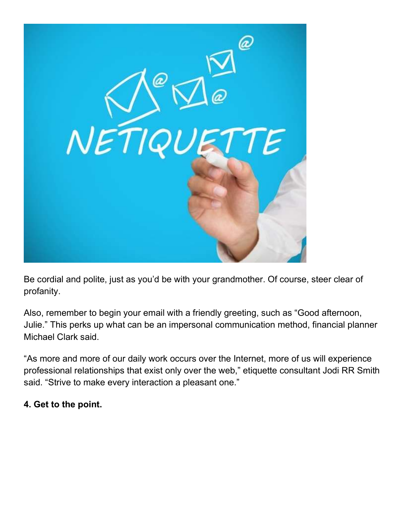

Be cordial and polite, just as you'd be with your grandmother. Of course, steer clear of profanity.

Also, remember to begin your email with a friendly greeting, such as "Good afternoon, Julie." This perks up what can be an impersonal communication method, financial planner Michael Clark said.

"As more and more of our daily work occurs over the Internet, more of us will experience professional relationships that exist only over the web," etiquette consultant Jodi RR Smith said. "Strive to make every interaction a pleasant one."

#### 4. Get to the point.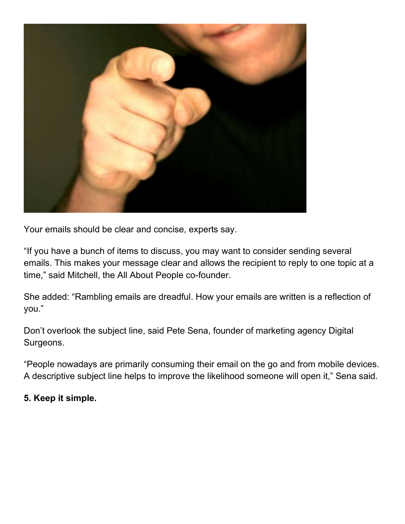

Your emails should be clear and concise, experts say.

"If you have a bunch of items to discuss, you may want to consider sending several emails. This makes your message clear and allows the recipient to reply to one topic at a time," said Mitchell, the All About People co-founder.

She added: "Rambling emails are dreadful. How your emails are written is a reflection of you."

Don't overlook the subject line, said Pete Sena, founder of marketing agency Digital Surgeons.

"People nowadays are primarily consuming their email on the go and from mobile devices. A descriptive subject line helps to improve the likelihood someone will open it," Sena said.

#### 5. Keep it simple.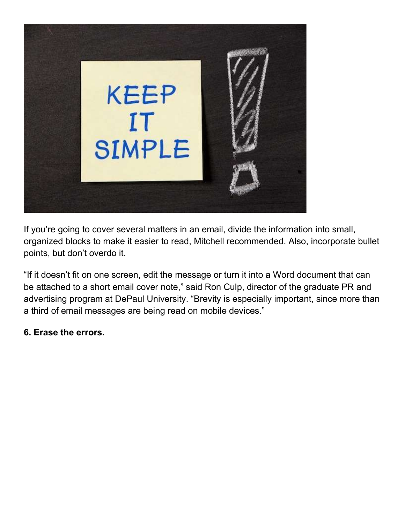

If you're going to cover several matters in an email, divide the information into small, organized blocks to make it easier to read, Mitchell recommended. Also, incorporate bullet points, but don't overdo it.

"If it doesn't fit on one screen, edit the message or turn it into a Word document that can be attached to a short email cover note," said Ron Culp, director of the graduate PR and advertising program at DePaul University. "Brevity is especially important, since more than a third of email messages are being read on mobile devices."

#### 6. Erase the errors.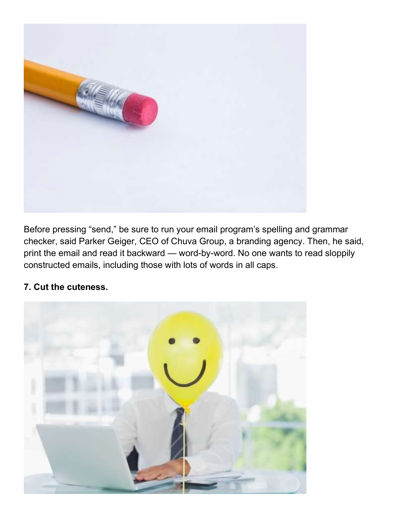

Before pressing "send," be sure to run your email program's spelling and grammar checker, said Parker Geiger, CEO of Chuva Group, a branding agency. Then, he said, print the email and read it backward — word-by-word. No one wants to read sloppily constructed emails, including those with lots of words in all caps.

# 7. Cut the cuteness.

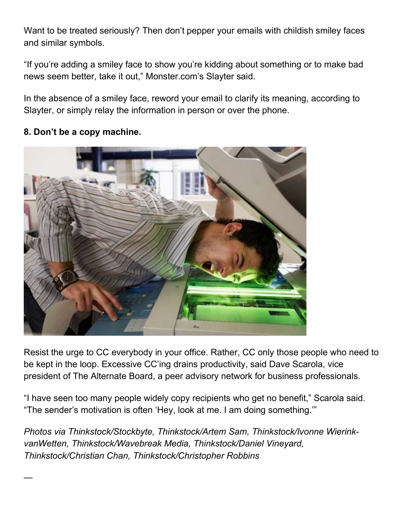Want to be treated seriously? Then don't pepper your emails with childish smiley faces and similar symbols.

"If you're adding a smiley face to show you're kidding about something or to make bad news seem better, take it out," Monster.com's Slayter said.

In the absence of a smiley face, reword your email to clarify its meaning, according to Slayter, or simply relay the information in person or over the phone.

#### 8. Don't be a copy machine.

—



Resist the urge to CC everybody in your office. Rather, CC only those people who need to be kept in the loop. Excessive CC'ing drains productivity, said Dave Scarola, vice president of The Alternate Board, a peer advisory network for business professionals.

"I have seen too many people widely copy recipients who get no benefit," Scarola said. "The sender's motivation is often 'Hey, look at me. I am doing something.'"

Photos via Thinkstock/Stockbyte, Thinkstock/Artem Sam, Thinkstock/Ivonne WierinkvanWetten, Thinkstock/Wavebreak Media, Thinkstock/Daniel Vineyard, Thinkstock/Christian Chan, Thinkstock/Christopher Robbins